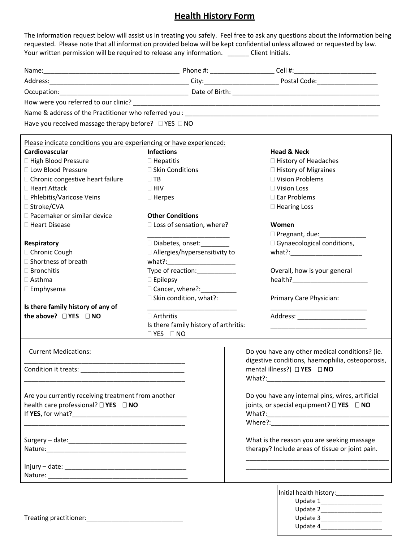## **Health History Form**

The information request below will assist us in treating you safely. Feel free to ask any questions about the information being requested. Please note that all information provided below will be kept confidential unless allowed or requested by law. Your written permission will be required to release any information. \_\_\_\_\_\_\_ Client Initials.

| Have you received massage therapy before? $\Box$ YES $\Box$ NO       |                                       |                                                          |
|----------------------------------------------------------------------|---------------------------------------|----------------------------------------------------------|
| Please indicate conditions you are experiencing or have experienced: |                                       |                                                          |
| Cardiovascular                                                       | <b>Infections</b>                     | <b>Head &amp; Neck</b>                                   |
| □ High Blood Pressure                                                | $\Box$ Hepatitis                      | □ History of Headaches                                   |
| □ Low Blood Pressure                                                 | □ Skin Conditions                     | □ History of Migraines                                   |
| □ Chronic congestive heart failure                                   | $\Box$ TB                             | □ Vision Problems                                        |
| □ Heart Attack                                                       | $\Box$ HIV                            | $\Box$ Vision Loss                                       |
| □ Phlebitis/Varicose Veins                                           | $\Box$ Herpes                         | $\square$ Ear Problems                                   |
| □ Stroke/CVA                                                         |                                       | □ Hearing Loss                                           |
| □ Pacemaker or similar device                                        | <b>Other Conditions</b>               |                                                          |
| □ Heart Disease                                                      | □ Loss of sensation, where?           | Women                                                    |
|                                                                      |                                       | D Pregnant, due: _______________                         |
| Respiratory                                                          | □ Diabetes, onset:                    | □ Gynaecological conditions,                             |
| □ Chronic Cough                                                      | □ Allergies/hypersensitivity to       |                                                          |
| □ Shortness of breath                                                |                                       |                                                          |
| $\Box$ Bronchitis                                                    | Type of reaction: ___________         | Overall, how is your general                             |
| $\Box$ Asthma                                                        | $\square$ Epilepsy                    |                                                          |
| $\square$ Emphysema                                                  |                                       |                                                          |
|                                                                      | $\square$ Skin condition, what?:      | Primary Care Physician:                                  |
| Is there family history of any of                                    |                                       |                                                          |
| the above? □ YES □ NO                                                | $\Box$ Arthritis                      | Address: ______________________                          |
|                                                                      | Is there family history of arthritis: |                                                          |
|                                                                      | $\Box$ YES $\Box$ NO                  |                                                          |
| <b>Current Medications:</b>                                          |                                       | Do you have any other medical conditions? (ie.           |
|                                                                      |                                       | digestive conditions, haemophilia, osteoporosis,         |
|                                                                      |                                       | mental illness?) $\Box$ YES $\Box$ NO                    |
|                                                                      |                                       |                                                          |
|                                                                      |                                       |                                                          |
| Are you currently receiving treatment from another                   |                                       | Do you have any internal pins, wires, artificial         |
| health care professional? □ YES □ NO                                 |                                       | joints, or special equipment? $\square$ YES $\square$ NO |
|                                                                      |                                       |                                                          |
|                                                                      |                                       |                                                          |
|                                                                      |                                       | What is the reason you are seeking massage               |
|                                                                      |                                       | therapy? Include areas of tissue or joint pain.          |
|                                                                      |                                       |                                                          |
|                                                                      |                                       |                                                          |
|                                                                      |                                       |                                                          |
|                                                                      |                                       |                                                          |
|                                                                      |                                       | Initial health history:________________                  |
|                                                                      |                                       |                                                          |
|                                                                      |                                       |                                                          |

Update 4\_\_\_\_\_\_\_\_\_\_\_\_\_\_\_\_\_\_